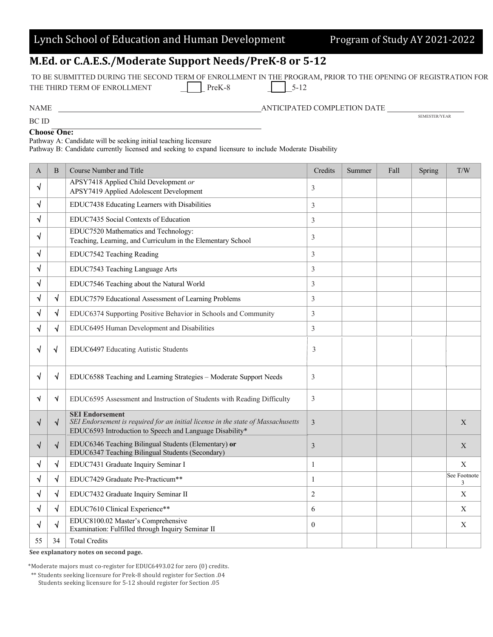|  |  | Lynch School of Education and Human Development |
|--|--|-------------------------------------------------|
|  |  |                                                 |

Program of Study AY 2021-2022

## **M.Ed. or C.A.E.S./Moderate Support Needs/PreK-8 or 5-12**

| TO BE SUBMITTED DURING THE SECOND TERM OF ENROLLMENT IN THE PROGRAM. PRIOR TO THE OPENING OF REGISTRATION FOR |          |           |  |
|---------------------------------------------------------------------------------------------------------------|----------|-----------|--|
| THE THIRD TERM OF ENROLLMENT                                                                                  | $PreK-8$ | $1\,5-12$ |  |
|                                                                                                               |          |           |  |

BC ID

 $\begin{array}{ll} \textbf{ANTICIPATED COMPLETION DATE} & \textbf{SEMENTICIPATED COMPLETION DATE} \\ \hline \end{array}$ 

**Choose One:**

Pathway A: Candidate will be seeking initial teaching licensure

Pathway B: Candidate currently licensed and seeking to expand licensure to include Moderate Disability

| А  | B          | Course Number and Title                                                                                                                                                | Credits        | Summer | Fall | Spring | T/W               |
|----|------------|------------------------------------------------------------------------------------------------------------------------------------------------------------------------|----------------|--------|------|--------|-------------------|
| √  |            | APSY7418 Applied Child Development or<br>APSY7419 Applied Adolescent Development                                                                                       | 3              |        |      |        |                   |
| √  |            | EDUC7438 Educating Learners with Disabilities                                                                                                                          | 3              |        |      |        |                   |
| √  |            | EDUC7435 Social Contexts of Education                                                                                                                                  | 3              |        |      |        |                   |
| √  |            | EDUC7520 Mathematics and Technology:<br>Teaching, Learning, and Curriculum in the Elementary School                                                                    | 3              |        |      |        |                   |
| √  |            | EDUC7542 Teaching Reading                                                                                                                                              | 3              |        |      |        |                   |
| √  |            | EDUC7543 Teaching Language Arts                                                                                                                                        | 3              |        |      |        |                   |
| √  |            | EDUC7546 Teaching about the Natural World                                                                                                                              | 3              |        |      |        |                   |
| √  | N          | EDUC7579 Educational Assessment of Learning Problems                                                                                                                   | 3              |        |      |        |                   |
|    | N          | EDUC6374 Supporting Positive Behavior in Schools and Community                                                                                                         | 3              |        |      |        |                   |
| √  | N          | EDUC6495 Human Development and Disabilities                                                                                                                            | 3              |        |      |        |                   |
| √  | N          | EDUC6497 Educating Autistic Students                                                                                                                                   | 3              |        |      |        |                   |
| √  | $\sqrt{ }$ | EDUC6588 Teaching and Learning Strategies - Moderate Support Needs                                                                                                     | 3              |        |      |        |                   |
| ٦  | N          | EDUC6595 Assessment and Instruction of Students with Reading Difficulty                                                                                                | 3              |        |      |        |                   |
| √  | $\sqrt{ }$ | <b>SEI Endorsement</b><br>SEI Endorsement is required for an initial license in the state of Massachusetts<br>EDUC6593 Introduction to Speech and Language Disability* | $\mathfrak{Z}$ |        |      |        | X                 |
|    | $\sqrt{}$  | EDUC6346 Teaching Bilingual Students (Elementary) or<br>EDUC6347 Teaching Bilingual Students (Secondary)                                                               | $\mathfrak{Z}$ |        |      |        | X                 |
| √  | $\sqrt{}$  | EDUC7431 Graduate Inquiry Seminar I                                                                                                                                    | $\mathbf{1}$   |        |      |        | X                 |
| √  | $\sqrt{ }$ | EDUC7429 Graduate Pre-Practicum**                                                                                                                                      | $\mathbf{1}$   |        |      |        | See Footnote<br>3 |
| √  | $\sqrt{ }$ | EDUC7432 Graduate Inquiry Seminar II                                                                                                                                   | $\overline{2}$ |        |      |        | X                 |
|    | $\sqrt{ }$ | EDUC7610 Clinical Experience**                                                                                                                                         | 6              |        |      |        | X                 |
| V  | N          | EDUC8100.02 Master's Comprehensive<br>Examination: Fulfilled through Inquiry Seminar II                                                                                | $\theta$       |        |      |        | X                 |
| 55 | 34         | <b>Total Credits</b>                                                                                                                                                   |                |        |      |        |                   |

See explanatory notes on second page.

\*Moderate majors must co-register for EDUC6493.02 for zero (0) credits.

\*\* Students seeking licensure for Prek-8 should register for Section .04

Students seeking licensure for 5-12 should register for Section .05